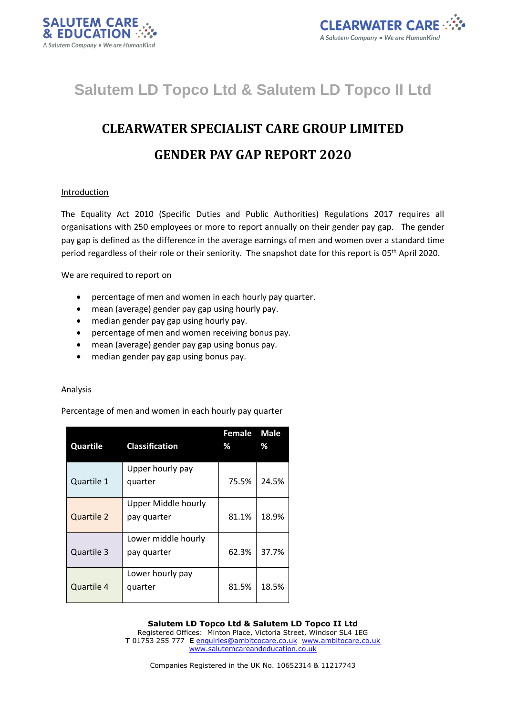



# **Salutem LD Topco Ltd & Salutem LD Topco II Ltd**

# **CLEARWATER SPECIALIST CARE GROUP LIMITED GENDER PAY GAP REPORT 2020**

# Introduction

The Equality Act 2010 (Specific Duties and Public Authorities) Regulations 2017 requires all organisations with 250 employees or more to report annually on their gender pay gap. The gender pay gap is defined as the difference in the average earnings of men and women over a standard time period regardless of their role or their seniority. The snapshot date for this report is 05<sup>th</sup> April 2020.

We are required to report on

- percentage of men and women in each hourly pay quarter.
- mean (average) gender pay gap using hourly pay.
- median gender pay gap using hourly pay.
- percentage of men and women receiving bonus pay.
- mean (average) gender pay gap using bonus pay.
- median gender pay gap using bonus pay.

#### Analysis

Percentage of men and women in each hourly pay quarter

| Quartile          | <b>Classification</b>              | Female<br>% | <b>Male</b><br>℅ |
|-------------------|------------------------------------|-------------|------------------|
| Quartile 1        | Upper hourly pay<br>quarter        | 75.5%       | 24.5%            |
| <b>Quartile 2</b> | Upper Middle hourly<br>pay quarter | 81.1%       | 18.9%            |
| Quartile 3        | Lower middle hourly<br>pay quarter | 62.3%       | 37.7%            |
| Quartile 4        | Lower hourly pay<br>quarter        | 81.5%       | 18.5%            |

**Salutem LD Topco Ltd & Salutem LD Topco II Ltd**

Registered Offices: Minton Place, Victoria Street, Windsor SL4 1EG **T** 01753 255 777 **E** [enquiries@ambitcocare.co.uk](mailto:enquiries@ambitcocare.co.uk) [www.ambitocare.co.uk](http://www.ambitocare.co.uk/) www.salutemcareandeducation.co.uk

Companies Registered in the UK No. 10652314 & 11217743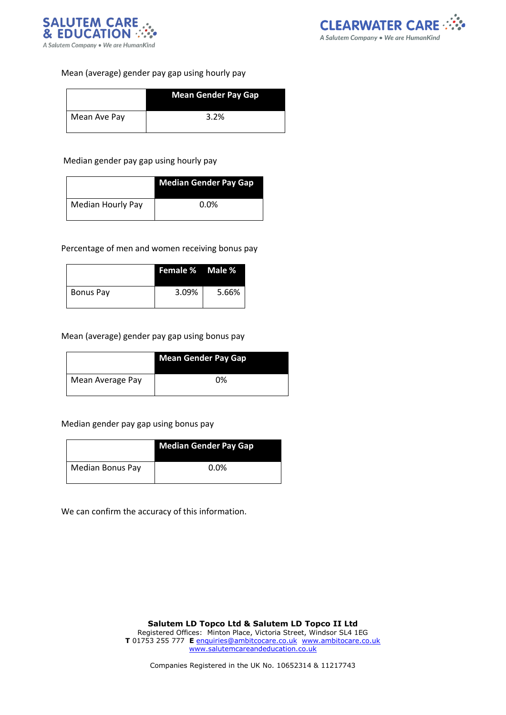



# Mean (average) gender pay gap using hourly pay

|              | <b>Mean Gender Pay Gap</b> |
|--------------|----------------------------|
| Mean Ave Pay | 3.2%                       |

#### Median gender pay gap using hourly pay

|                          | <b>Median Gender Pay Gap</b> |
|--------------------------|------------------------------|
| <b>Median Hourly Pay</b> | $0.0\%$                      |

#### Percentage of men and women receiving bonus pay

|           | <b>Female % Male %</b> |       |
|-----------|------------------------|-------|
| Bonus Pay | 3.09%                  | 5.66% |

# Mean (average) gender pay gap using bonus pay

|                  | <b>Mean Gender Pay Gap</b> |
|------------------|----------------------------|
| Mean Average Pay | 0%                         |

#### Median gender pay gap using bonus pay

|                  | <b>Median Gender Pay Gap</b> |
|------------------|------------------------------|
| Median Bonus Pay | $0.0\%$                      |

We can confirm the accuracy of this information.

Companies Registered in the UK No. 10652314 & 11217743